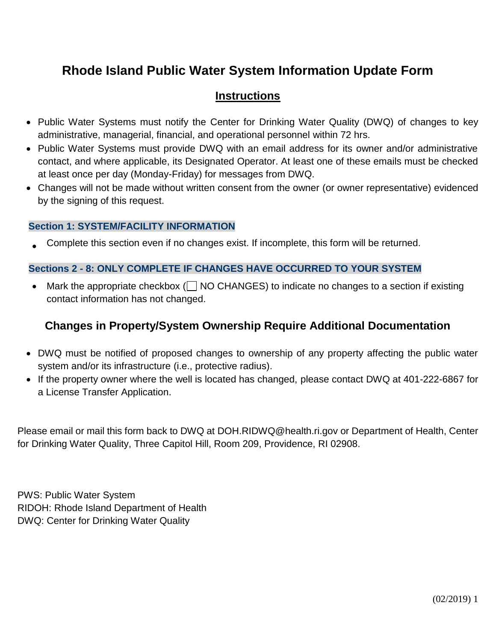# **Rhode Island Public Water System Information Update Form**

# **Instructions**

- Public Water Systems must notify the Center for Drinking Water Quality (DWQ) of changes to key administrative, managerial, financial, and operational personnel within 72 hrs.
- Public Water Systems must provide DWQ with an email address for its owner and/or administrative contact, and where applicable, its Designated Operator. At least one of these emails must be checked at least once per day (Monday-Friday) for messages from DWQ.
- Changes will not be made without written consent from the owner (or owner representative) evidenced by the signing of this request.

## **Section 1: SYSTEM/FACILITY INFORMATION**

• Complete this section even if no changes exist. If incomplete, this form will be returned.

## **Sections 2 - 8: ONLY COMPLETE IF CHANGES HAVE OCCURRED TO YOUR SYSTEM**

Mark the appropriate checkbox ( $\Box$  NO CHANGES) to indicate no changes to a section if existing contact information has not changed.

# **Changes in Property/System Ownership Require Additional Documentation**

- DWQ must be notified of proposed changes to ownership of any property affecting the public water system and/or its infrastructure (i.e., protective radius).
- If the property owner where the well is located has changed, please contact DWQ at 401-222-6867 for a License Transfer Application.

Please email or mail this form back to DWQ at DOH.RIDWQ@health.ri.gov or Department of Health, Center for Drinking Water Quality, Three Capitol Hill, Room 209, Providence, RI 02908.

PWS: Public Water System RIDOH: Rhode Island Department of Health DWQ: Center for Drinking Water Quality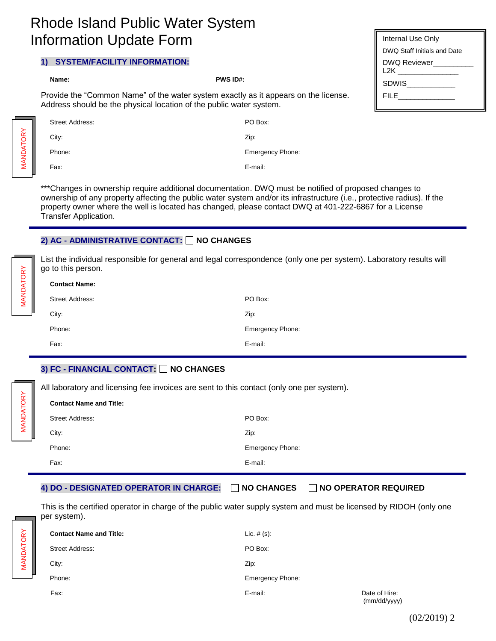# Rhode Island Public Water System Information Update Form

#### **1) SYSTEM/FACILITY INFORMATION:**

|                                                                                                                                                            | Name:                  | <b>PWS ID#:</b>         |
|------------------------------------------------------------------------------------------------------------------------------------------------------------|------------------------|-------------------------|
| Provide the "Common Name" of the water system exactly as it appears on the license.<br>Address should be the physical location of the public water system. |                        |                         |
|                                                                                                                                                            | <b>Street Address:</b> | PO Box:                 |
|                                                                                                                                                            | City:                  | Zip:                    |
|                                                                                                                                                            | Phone:                 | <b>Emergency Phone:</b> |

Fax: E-mail:

\*\*\*Changes in ownership require additional documentation. DWQ must be notified of proposed changes to ownership of any property affecting the public water system and/or its infrastructure (i.e., protective radius). If the property owner where the well is located has changed, please contact DWQ at 401-222-6867 for a License Transfer Application.

#### **2) AC - ADMINISTRATIVE CONTACT: □ NO CHANGES**

List the individual responsible for general and legal correspondence (only one per system). Laboratory results will go to this person.

| <b>Contact Name:</b>   |                         |  |
|------------------------|-------------------------|--|
| <b>Street Address:</b> | PO Box:                 |  |
| City:                  | Zip:                    |  |
| Phone:                 | <b>Emergency Phone:</b> |  |
| Fax:                   | E-mail:                 |  |

### **3) FC - FINANCIAL CONTACT: NO CHANGES**

All laboratory and licensing fee invoices are sent to this contact (only one per system).

| <b>Contact Name and Title:</b> |                         |
|--------------------------------|-------------------------|
| <b>Street Address:</b>         | PO Box:                 |
| City:                          | Zip:                    |
| Phone:                         | <b>Emergency Phone:</b> |
| Fax:                           | E-mail:                 |

#### **4) DO - DESIGNATED OPERATOR IN CHARGE: NO CHANGES NO OPERATOR REQUIRED**

This is the certified operator in charge of the public water supply system and must be licensed by RIDOH (only one per system).

| <b>Contact Name and Title:</b> | Lic. $# (s)$ :          |                               |
|--------------------------------|-------------------------|-------------------------------|
| <b>Street Address:</b>         | PO Box:                 |                               |
| City:                          | Zip:                    |                               |
| Phone:                         | <b>Emergency Phone:</b> |                               |
| Fax:                           | E-mail:                 | Date of Hire:<br>(mm/dd/yyyy) |

| Internal Use Only           |
|-----------------------------|
| DWQ Staff Initials and Date |
| DWQ Reviewer<br>L2K         |
| SDWIS                       |
|                             |
|                             |

MANDATORY**MANDATORY** 

MANDATORY

MANDATORY

(02/2019) 2